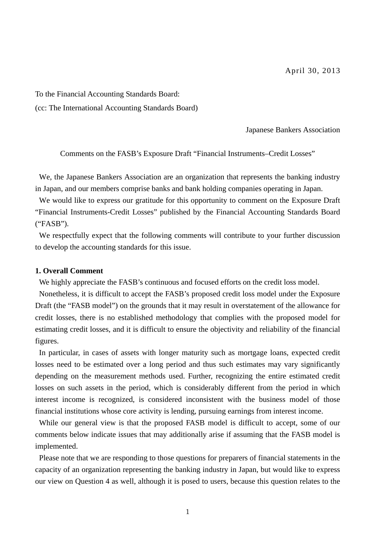To the Financial Accounting Standards Board:

(cc: The International Accounting Standards Board)

Japanese Bankers Association

Comments on the FASB's Exposure Draft "Financial Instruments–Credit Losses"

We, the Japanese Bankers Association are an organization that represents the banking industry in Japan, and our members comprise banks and bank holding companies operating in Japan.

We would like to express our gratitude for this opportunity to comment on the Exposure Draft "Financial Instruments-Credit Losses" published by the Financial Accounting Standards Board ("FASB").

We respectfully expect that the following comments will contribute to your further discussion to develop the accounting standards for this issue.

#### **1. Overall Comment**

We highly appreciate the FASB's continuous and focused efforts on the credit loss model.

Nonetheless, it is difficult to accept the FASB's proposed credit loss model under the Exposure Draft (the "FASB model") on the grounds that it may result in overstatement of the allowance for credit losses, there is no established methodology that complies with the proposed model for estimating credit losses, and it is difficult to ensure the objectivity and reliability of the financial figures.

In particular, in cases of assets with longer maturity such as mortgage loans, expected credit losses need to be estimated over a long period and thus such estimates may vary significantly depending on the measurement methods used. Further, recognizing the entire estimated credit losses on such assets in the period, which is considerably different from the period in which interest income is recognized, is considered inconsistent with the business model of those financial institutions whose core activity is lending, pursuing earnings from interest income.

While our general view is that the proposed FASB model is difficult to accept, some of our comments below indicate issues that may additionally arise if assuming that the FASB model is implemented.

Please note that we are responding to those questions for preparers of financial statements in the capacity of an organization representing the banking industry in Japan, but would like to express our view on Question 4 as well, although it is posed to users, because this question relates to the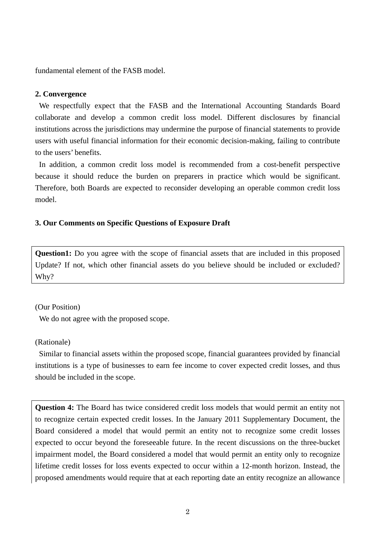fundamental element of the FASB model.

#### **2. Convergence**

We respectfully expect that the FASB and the International Accounting Standards Board collaborate and develop a common credit loss model. Different disclosures by financial institutions across the jurisdictions may undermine the purpose of financial statements to provide users with useful financial information for their economic decision-making, failing to contribute to the users' benefits.

In addition, a common credit loss model is recommended from a cost-benefit perspective because it should reduce the burden on preparers in practice which would be significant. Therefore, both Boards are expected to reconsider developing an operable common credit loss model.

#### **3. Our Comments on Specific Questions of Exposure Draft**

**Question1:** Do you agree with the scope of financial assets that are included in this proposed Update? If not, which other financial assets do you believe should be included or excluded? Why?

#### (Our Position)

We do not agree with the proposed scope.

### (Rationale)

Similar to financial assets within the proposed scope, financial guarantees provided by financial institutions is a type of businesses to earn fee income to cover expected credit losses, and thus should be included in the scope.

**Question 4:** The Board has twice considered credit loss models that would permit an entity not to recognize certain expected credit losses. In the January 2011 Supplementary Document, the Board considered a model that would permit an entity not to recognize some credit losses expected to occur beyond the foreseeable future. In the recent discussions on the three-bucket impairment model, the Board considered a model that would permit an entity only to recognize lifetime credit losses for loss events expected to occur within a 12-month horizon. Instead, the proposed amendments would require that at each reporting date an entity recognize an allowance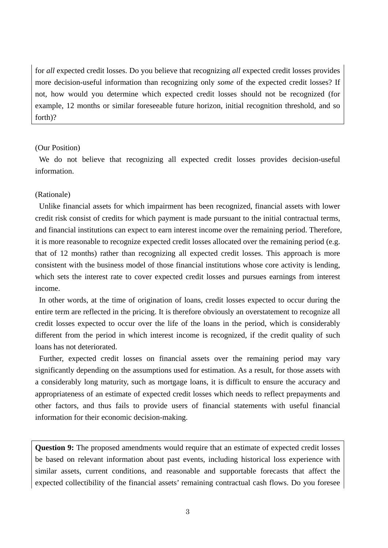for *all* expected credit losses. Do you believe that recognizing *all* expected credit losses provides more decision-useful information than recognizing only *some* of the expected credit losses? If not, how would you determine which expected credit losses should not be recognized (for example, 12 months or similar foreseeable future horizon, initial recognition threshold, and so forth)?

#### (Our Position)

We do not believe that recognizing all expected credit losses provides decision-useful information.

#### (Rationale)

Unlike financial assets for which impairment has been recognized, financial assets with lower credit risk consist of credits for which payment is made pursuant to the initial contractual terms, and financial institutions can expect to earn interest income over the remaining period. Therefore, it is more reasonable to recognize expected credit losses allocated over the remaining period (e.g. that of 12 months) rather than recognizing all expected credit losses. This approach is more consistent with the business model of those financial institutions whose core activity is lending, which sets the interest rate to cover expected credit losses and pursues earnings from interest income.

In other words, at the time of origination of loans, credit losses expected to occur during the entire term are reflected in the pricing. It is therefore obviously an overstatement to recognize all credit losses expected to occur over the life of the loans in the period, which is considerably different from the period in which interest income is recognized, if the credit quality of such loans has not deteriorated.

Further, expected credit losses on financial assets over the remaining period may vary significantly depending on the assumptions used for estimation. As a result, for those assets with a considerably long maturity, such as mortgage loans, it is difficult to ensure the accuracy and appropriateness of an estimate of expected credit losses which needs to reflect prepayments and other factors, and thus fails to provide users of financial statements with useful financial information for their economic decision-making.

**Question 9:** The proposed amendments would require that an estimate of expected credit losses be based on relevant information about past events, including historical loss experience with similar assets, current conditions, and reasonable and supportable forecasts that affect the expected collectibility of the financial assets' remaining contractual cash flows. Do you foresee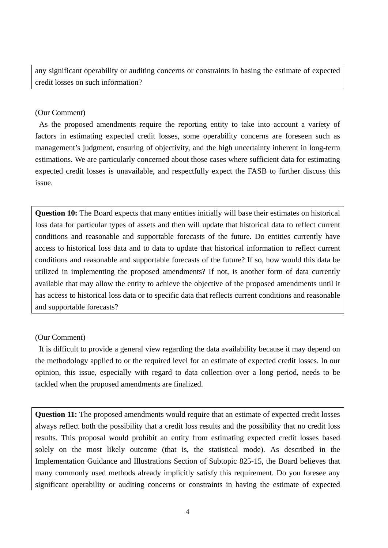any significant operability or auditing concerns or constraints in basing the estimate of expected credit losses on such information?

## (Our Comment)

As the proposed amendments require the reporting entity to take into account a variety of factors in estimating expected credit losses, some operability concerns are foreseen such as management's judgment, ensuring of objectivity, and the high uncertainty inherent in long-term estimations. We are particularly concerned about those cases where sufficient data for estimating expected credit losses is unavailable, and respectfully expect the FASB to further discuss this issue.

**Question 10:** The Board expects that many entities initially will base their estimates on historical loss data for particular types of assets and then will update that historical data to reflect current conditions and reasonable and supportable forecasts of the future. Do entities currently have access to historical loss data and to data to update that historical information to reflect current conditions and reasonable and supportable forecasts of the future? If so, how would this data be utilized in implementing the proposed amendments? If not, is another form of data currently available that may allow the entity to achieve the objective of the proposed amendments until it has access to historical loss data or to specific data that reflects current conditions and reasonable and supportable forecasts?

# (Our Comment)

It is difficult to provide a general view regarding the data availability because it may depend on the methodology applied to or the required level for an estimate of expected credit losses. In our opinion, this issue, especially with regard to data collection over a long period, needs to be tackled when the proposed amendments are finalized.

**Question 11:** The proposed amendments would require that an estimate of expected credit losses always reflect both the possibility that a credit loss results and the possibility that no credit loss results. This proposal would prohibit an entity from estimating expected credit losses based solely on the most likely outcome (that is, the statistical mode). As described in the Implementation Guidance and Illustrations Section of Subtopic 825-15, the Board believes that many commonly used methods already implicitly satisfy this requirement. Do you foresee any significant operability or auditing concerns or constraints in having the estimate of expected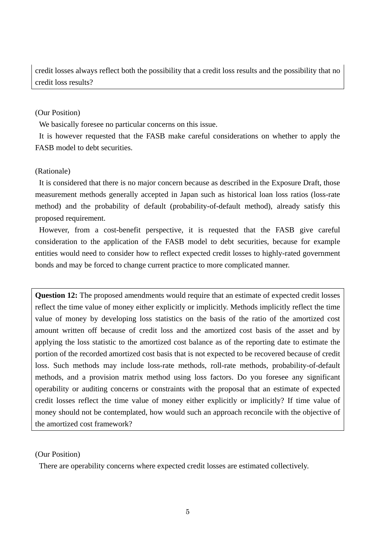credit losses always reflect both the possibility that a credit loss results and the possibility that no credit loss results?

## (Our Position)

We basically foresee no particular concerns on this issue.

It is however requested that the FASB make careful considerations on whether to apply the FASB model to debt securities.

## (Rationale)

It is considered that there is no major concern because as described in the Exposure Draft, those measurement methods generally accepted in Japan such as historical loan loss ratios (loss-rate method) and the probability of default (probability-of-default method), already satisfy this proposed requirement.

However, from a cost-benefit perspective, it is requested that the FASB give careful consideration to the application of the FASB model to debt securities, because for example entities would need to consider how to reflect expected credit losses to highly-rated government bonds and may be forced to change current practice to more complicated manner.

**Question 12:** The proposed amendments would require that an estimate of expected credit losses reflect the time value of money either explicitly or implicitly. Methods implicitly reflect the time value of money by developing loss statistics on the basis of the ratio of the amortized cost amount written off because of credit loss and the amortized cost basis of the asset and by applying the loss statistic to the amortized cost balance as of the reporting date to estimate the portion of the recorded amortized cost basis that is not expected to be recovered because of credit loss. Such methods may include loss-rate methods, roll-rate methods, probability-of-default methods, and a provision matrix method using loss factors. Do you foresee any significant operability or auditing concerns or constraints with the proposal that an estimate of expected credit losses reflect the time value of money either explicitly or implicitly? If time value of money should not be contemplated, how would such an approach reconcile with the objective of the amortized cost framework?

## (Our Position)

There are operability concerns where expected credit losses are estimated collectively.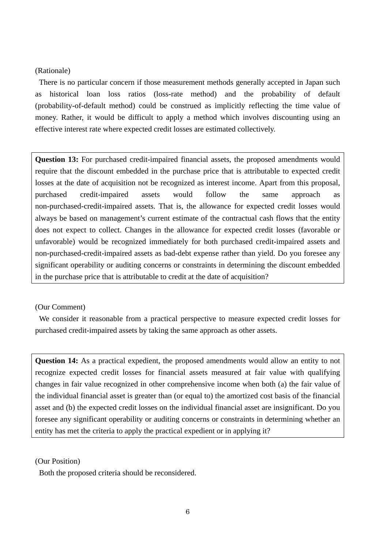### (Rationale)

There is no particular concern if those measurement methods generally accepted in Japan such as historical loan loss ratios (loss-rate method) and the probability of default (probability-of-default method) could be construed as implicitly reflecting the time value of money. Rather, it would be difficult to apply a method which involves discounting using an effective interest rate where expected credit losses are estimated collectively.

**Question 13:** For purchased credit-impaired financial assets, the proposed amendments would require that the discount embedded in the purchase price that is attributable to expected credit losses at the date of acquisition not be recognized as interest income. Apart from this proposal, purchased credit-impaired assets would follow the same approach as non-purchased-credit-impaired assets. That is, the allowance for expected credit losses would always be based on management's current estimate of the contractual cash flows that the entity does not expect to collect. Changes in the allowance for expected credit losses (favorable or unfavorable) would be recognized immediately for both purchased credit-impaired assets and non-purchased-credit-impaired assets as bad-debt expense rather than yield. Do you foresee any significant operability or auditing concerns or constraints in determining the discount embedded in the purchase price that is attributable to credit at the date of acquisition?

### (Our Comment)

We consider it reasonable from a practical perspective to measure expected credit losses for purchased credit-impaired assets by taking the same approach as other assets.

**Question 14:** As a practical expedient, the proposed amendments would allow an entity to not recognize expected credit losses for financial assets measured at fair value with qualifying changes in fair value recognized in other comprehensive income when both (a) the fair value of the individual financial asset is greater than (or equal to) the amortized cost basis of the financial asset and (b) the expected credit losses on the individual financial asset are insignificant. Do you foresee any significant operability or auditing concerns or constraints in determining whether an entity has met the criteria to apply the practical expedient or in applying it?

(Our Position)

Both the proposed criteria should be reconsidered.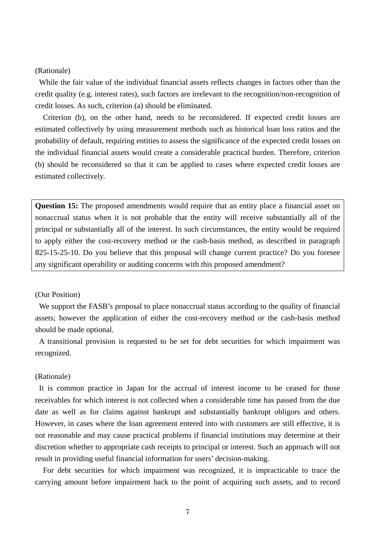#### (Rationale)

While the fair value of the individual financial assets reflects changes in factors other than the credit quality (e.g. interest rates), such factors are irrelevant to the recognition/non-recognition of credit losses. As such, criterion (a) should be eliminated.

Criterion (b), on the other hand, needs to be reconsidered. If expected credit losses are estimated collectively by using measurement methods such as historical loan loss ratios and the probability of default, requiring entities to assess the significance of the expected credit losses on the individual financial assets would create a considerable practical burden. Therefore, criterion (b) should be reconsidered so that it can be applied to cases where expected credit losses are estimated collectively.

**Question 15:** The proposed amendments would require that an entity place a financial asset on nonaccrual status when it is not probable that the entity will receive substantially all of the principal or substantially all of the interest. In such circumstances, the entity would be required to apply either the cost-recovery method or the cash-basis method, as described in paragraph 825-15-25-10. Do you believe that this proposal will change current practice? Do you foresee any significant operability or auditing concerns with this proposed amendment?

### (Our Position)

We support the FASB's proposal to place nonaccrual status according to the quality of financial assets; however the application of either the cost-recovery method or the cash-basis method should be made optional.

A transitional provision is requested to be set for debt securities for which impairment was recognized.

#### (Rationale)

It is common practice in Japan for the accrual of interest income to be ceased for those receivables for which interest is not collected when a considerable time has passed from the due date as well as for claims against bankrupt and substantially bankrupt obligors and others. However, in cases where the loan agreement entered into with customers are still effective, it is not reasonable and may cause practical problems if financial institutions may determine at their discretion whether to appropriate cash receipts to principal or interest. Such an approach will not result in providing useful financial information for users' decision-making.

For debt securities for which impairment was recognized, it is impracticable to trace the carrying amount before impairment back to the point of acquiring such assets, and to record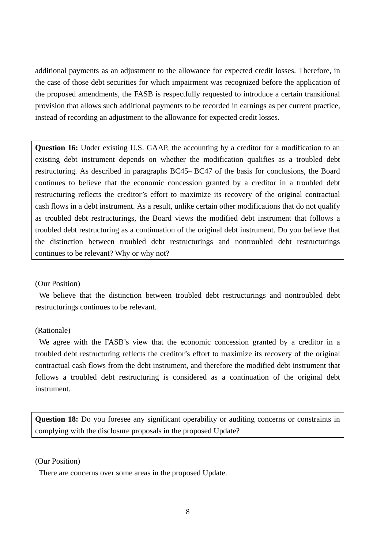additional payments as an adjustment to the allowance for expected credit losses. Therefore, in the case of those debt securities for which impairment was recognized before the application of the proposed amendments, the FASB is respectfully requested to introduce a certain transitional provision that allows such additional payments to be recorded in earnings as per current practice, instead of recording an adjustment to the allowance for expected credit losses.

**Question 16:** Under existing U.S. GAAP, the accounting by a creditor for a modification to an existing debt instrument depends on whether the modification qualifies as a troubled debt restructuring. As described in paragraphs BC45– BC47 of the basis for conclusions, the Board continues to believe that the economic concession granted by a creditor in a troubled debt restructuring reflects the creditor's effort to maximize its recovery of the original contractual cash flows in a debt instrument. As a result, unlike certain other modifications that do not qualify as troubled debt restructurings, the Board views the modified debt instrument that follows a troubled debt restructuring as a continuation of the original debt instrument. Do you believe that the distinction between troubled debt restructurings and nontroubled debt restructurings continues to be relevant? Why or why not?

### (Our Position)

We believe that the distinction between troubled debt restructurings and nontroubled debt restructurings continues to be relevant.

## (Rationale)

We agree with the FASB's view that the economic concession granted by a creditor in a troubled debt restructuring reflects the creditor's effort to maximize its recovery of the original contractual cash flows from the debt instrument, and therefore the modified debt instrument that follows a troubled debt restructuring is considered as a continuation of the original debt instrument.

**Question 18:** Do you foresee any significant operability or auditing concerns or constraints in complying with the disclosure proposals in the proposed Update?

### (Our Position)

There are concerns over some areas in the proposed Update.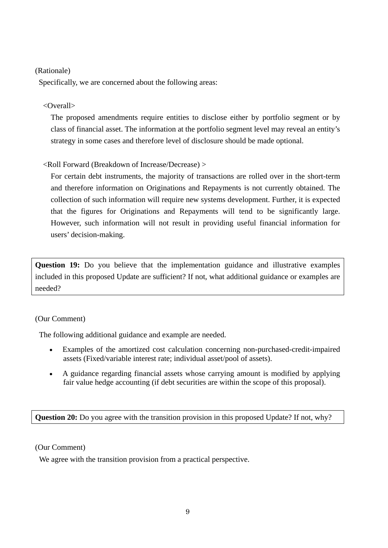# (Rationale)

Specifically, we are concerned about the following areas:

# <Overall>

The proposed amendments require entities to disclose either by portfolio segment or by class of financial asset. The information at the portfolio segment level may reveal an entity's strategy in some cases and therefore level of disclosure should be made optional.

# <Roll Forward (Breakdown of Increase/Decrease) >

For certain debt instruments, the majority of transactions are rolled over in the short-term and therefore information on Originations and Repayments is not currently obtained. The collection of such information will require new systems development. Further, it is expected that the figures for Originations and Repayments will tend to be significantly large. However, such information will not result in providing useful financial information for users' decision-making.

**Question 19:** Do you believe that the implementation guidance and illustrative examples included in this proposed Update are sufficient? If not, what additional guidance or examples are needed?

# (Our Comment)

The following additional guidance and example are needed.

- Examples of the amortized cost calculation concerning non-purchased-credit-impaired assets (Fixed/variable interest rate; individual asset/pool of assets).
- A guidance regarding financial assets whose carrying amount is modified by applying fair value hedge accounting (if debt securities are within the scope of this proposal).

**Question 20:** Do you agree with the transition provision in this proposed Update? If not, why?

## (Our Comment)

We agree with the transition provision from a practical perspective.